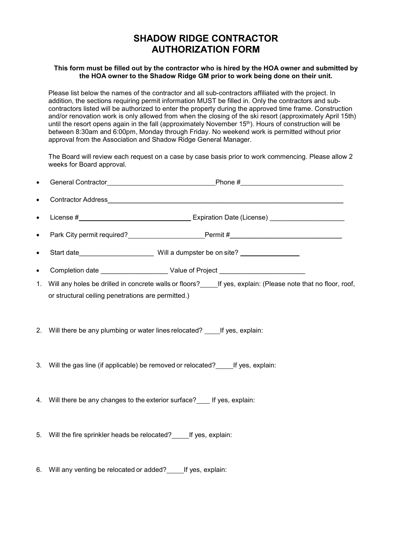## **SHADOW RIDGE CONTRACTOR AUTHORIZATION FORM**

## **This form must be filled out by the contractor who is hired by the HOA owner and submitted by the HOA owner to the Shadow Ridge GM prior to work being done on their unit.**

Please list below the names of the contractor and all sub-contractors affiliated with the project. In addition, the sections requiring permit information MUST be filled in. Only the contractors and subcontractors listed will be authorized to enter the property during the approved time frame. Construction and/or renovation work is only allowed from when the closing of the ski resort (approximately April 15th) until the resort opens again in the fall (approximately November 15<sup>th</sup>). Hours of construction will be between 8:30am and 6:00pm, Monday through Friday. No weekend work is permitted without prior approval from the Association and Shadow Ridge General Manager.

The Board will review each request on a case by case basis prior to work commencing. Please allow 2 weeks for Board approval.

| $\bullet$ |                                                                        |                                                                                                                   |
|-----------|------------------------------------------------------------------------|-------------------------------------------------------------------------------------------------------------------|
| $\bullet$ |                                                                        |                                                                                                                   |
| $\bullet$ |                                                                        |                                                                                                                   |
| $\bullet$ |                                                                        |                                                                                                                   |
| $\bullet$ |                                                                        |                                                                                                                   |
| $\bullet$ |                                                                        |                                                                                                                   |
|           | or structural ceiling penetrations are permitted.)                     | 1. Will any holes be drilled in concrete walls or floors?______If yes, explain: (Please note that no floor, roof, |
|           |                                                                        | 2. Will there be any plumbing or water lines relocated? _____ If yes, explain:                                    |
|           |                                                                        | 3. Will the gas line (if applicable) be removed or relocated? ______ If yes, explain:                             |
|           | 4. Will there be any changes to the exterior surface? If yes, explain: |                                                                                                                   |
|           | 5. Will the fire sprinkler heads be relocated? _____ If yes, explain:  |                                                                                                                   |
|           | 6. Will any venting be relocated or added? _____ If yes, explain:      |                                                                                                                   |